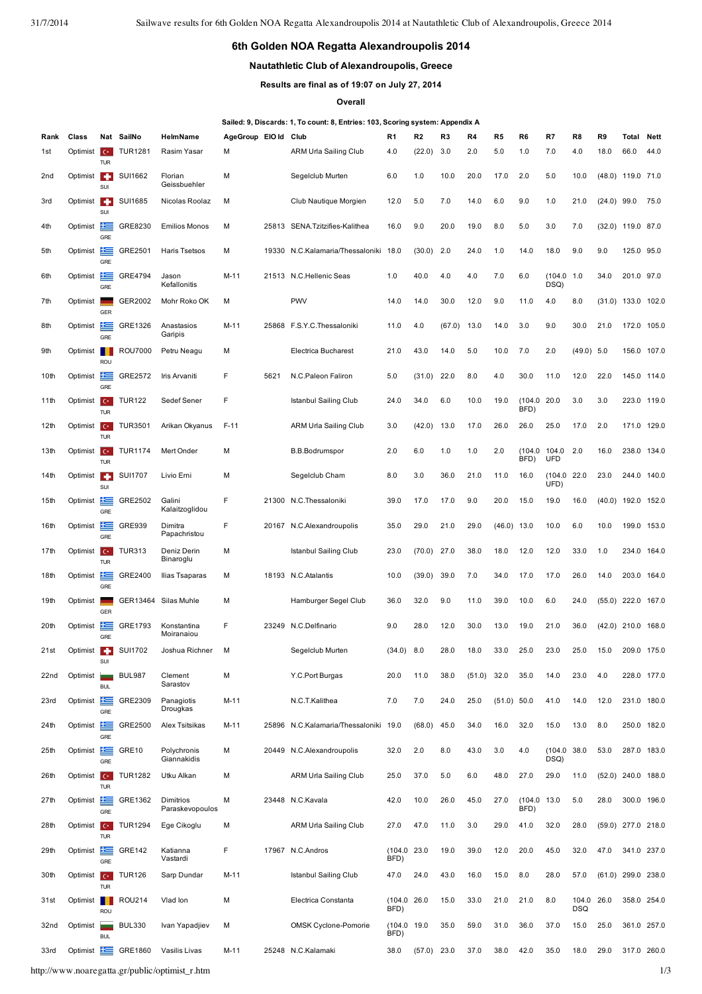## **6th Golden NOA Regatta Alexandroupolis 2014**

## **Nautathletic Club of Alexandroupolis, Greece**

**Results are final as of 19:07 on July 27, 2014**

## **Overall**

## **Sailed: 9, Discards: 1, To count: 8, Entries: 103, Scoring system: Appendix A**

| Rank             | Class                    |                                        | Nat SailNo     | HelmName                     | AgeGroup EIO Id |       | Club                                  | R1                  | R <sub>2</sub> | R3     | R4     | R5            | R <sub>6</sub>  | R7                  | R8                       | R9            | Total                | <b>Nett</b> |
|------------------|--------------------------|----------------------------------------|----------------|------------------------------|-----------------|-------|---------------------------------------|---------------------|----------------|--------|--------|---------------|-----------------|---------------------|--------------------------|---------------|----------------------|-------------|
| 1st              | Optimist                 | $\epsilon$                             | <b>TUR1281</b> | Rasim Yasar                  | M               |       | <b>ARM Urla Sailing Club</b>          | 4.0                 | (22.0)         | 3.0    | 2.0    | 5.0           | 1.0             | 7.0                 | 4.0                      | 18.0          | 66.0                 | 44.0        |
| 2 <sub>nd</sub>  | Optimist <b>F</b>        | <b>TUR</b><br>SUI                      | SUI1662        | Florian<br>Geissbuehler      | M               |       | Segelclub Murten                      | 6.0                 | 1.0            | 10.0   | 20.0   | 17.0          | 2.0             | 5.0                 | 10.0                     |               | $(48.0)$ 119.0 71.0  |             |
| 3rd              | Optimist <b>C</b>        | SUI                                    | SUI1685        | Nicolas Roolaz               | M               |       | Club Nautique Morgien                 | 12.0                | 5.0            | 7.0    | 14.0   | 6.0           | 9.0             | 1.0                 | 21.0                     | $(24.0)$ 99.0 |                      | 75.0        |
| 4th              | Optimist                 | 幸<br>GRE                               | GRE8230        | <b>Emilios Monos</b>         | M               |       | 25813 SENA.Tzitzifies-Kalithea        | 16.0                | 9.0            | 20.0   | 19.0   | 8.0           | 5.0             | 3.0                 | 7.0                      |               | $(32.0)$ 119.0 87.0  |             |
| 5th              | Optimist                 | ≐<br>GRE                               | GRE2501        | <b>Haris Tsetsos</b>         | M               | 19330 | N.C.Kalamaria/Thessaloniki            | 18.0                | (30.0)         | 2.0    | 24.0   | 1.0           | 14.0            | 18.0                | 9.0                      | 9.0           | 125.0                | 95.0        |
| 6th              | Optimist                 | GRE                                    | <b>GRE4794</b> | Jason<br>Kefallonitis        | $M-11$          |       | 21513 N.C.Hellenic Seas               | 1.0                 | 40.0           | 4.0    | 4.0    | 7.0           | 6.0             | (104.0 1.0<br>DSQ)  |                          | 34.0          | 201.0 97.0           |             |
| 7th              | Optimist                 | GER                                    | GER2002        | Mohr Roko OK                 | M               |       | <b>PWV</b>                            | 14.0                | 14.0           | 30.0   | 12.0   | 9.0           | 11.0            | 4.0                 | 8.0                      | (31.0)        | 133.0                | 102.0       |
| 8th              | Optimist                 | 丰富<br>GRE                              | GRE1326        | Anastasios<br>Garipis        | $M-11$          |       | 25868 F.S.Y.C.Thessaloniki            | 11.0                | 4.0            | (67.0) | 13.0   | 14.0          | 3.0             | 9.0                 | 30.0                     | 21.0          |                      | 172.0 105.0 |
| 9th              | Optimist                 | ROU                                    | <b>ROU7000</b> | Petru Neagu                  | M               |       | Electrica Bucharest                   | 21.0                | 43.0           | 14.0   | 5.0    | 10.0          | 7.0             | 2.0                 | (49.0)                   | 5.0           | 156.0                | 107.0       |
| 10th             | Optimist                 | 隼<br>GRE                               | <b>GRE2572</b> | Iris Arvaniti                | F               | 5621  | N.C.Paleon Faliron                    | 5.0                 | (31.0)         | 22.0   | 8.0    | 4.0           | 30.0            | 11.0                | 12.0                     | 22.0          |                      | 145.0 114.0 |
| 11th             | Optimist                 | $C^*$<br><b>TUR</b>                    | <b>TUR122</b>  | Sedef Sener                  | F               |       | Istanbul Sailing Club                 | 24.0                | 34.0           | 6.0    | 10.0   | 19.0          | (104.0)<br>BFD) | 20.0                | 3.0                      | 3.0           | 223.0                | 119.0       |
| 12th             | Optimist                 | $C^*$<br><b>TUR</b>                    | <b>TUR3501</b> | Arikan Okyanus               | $F-11$          |       | <b>ARM Urla Sailing Club</b>          | 3.0                 | (42.0)         | 13.0   | 17.0   | 26.0          | 26.0            | 25.0                | 17.0                     | 2.0           |                      | 171.0 129.0 |
| 13th             | Optimist C               | <b>TUR</b>                             | <b>TUR1174</b> | Mert Onder                   | M               |       | <b>B.B.Bodrumspor</b>                 | 2.0                 | 6.0            | 1.0    | 1.0    | 2.0           | (104.0<br>BFD)  | 104.0<br>UFD        | 2.0                      | 16.0          | 238.0                | 134.0       |
| 14th             | Optimist <b>F</b>        | SUI                                    | <b>SUI1707</b> | Livio Erni                   | M               |       | Segelclub Cham                        | 8.0                 | 3.0            | 36.0   | 21.0   | 11.0          | 16.0            | (104.0<br>UFD)      | 22.0                     | 23.0          | 244.0                | 140.0       |
| 15 <sub>th</sub> | Optimist                 | æ<br>GRE                               | GRE2502        | Galini<br>Kalaitzoglidou     | F               | 21300 | N.C.Thessaloniki                      | 39.0                | 17.0           | 17.0   | 9.0    | 20.0          | 15.0            | 19.0                | 16.0                     | (40.0)        | 192.0                | 152.0       |
| 16th             | Optimist                 | 丰富<br>GRE                              | <b>GRE939</b>  | Dimitra<br>Papachristou      | F               |       | 20167 N.C.Alexandroupolis             | 35.0                | 29.0           | 21.0   | 29.0   | $(46.0)$ 13.0 |                 | 10.0                | 6.0                      | 10.0          | 199.0                | 153.0       |
| 17th             | Optimist <b>C</b>        | <b>TUR</b>                             | <b>TUR313</b>  | Deniz Derin<br>Binaroglu     | M               |       | <b>Istanbul Sailing Club</b>          | 23.0                | (70.0)         | 27.0   | 38.0   | 18.0          | 12.0            | 12.0                | 33.0                     | 1.0           | 234.0                | 164.0       |
| 18th             | Optimist                 | æ<br>GRE                               | GRE2400        | Ilias Tsaparas               | M               | 18193 | N.C.Atalantis                         | 10.0                | (39.0)         | 39.0   | 7.0    | 34.0          | 17.0            | 17.0                | 26.0                     | 14.0          | 203.0                | 164.0       |
| 19th             | Optimist                 | <b>GER</b>                             | GER13464       | Silas Muhle                  | M               |       | Hamburger Segel Club                  | 36.0                | 32.0           | 9.0    | 11.0   | 39.0          | 10.0            | 6.0                 | 24.0                     | (55.0)        | 222.0                | 167.0       |
| 20th             | Optimist                 | æ<br>GRE                               | GRE1793        | Konstantina<br>Moiranaiou    | F               | 23249 | N.C.Delfinario                        | 9.0                 | 28.0           | 12.0   | 30.0   | 13.0          | 19.0            | 21.0                | 36.0                     | (42.0)        | 210.0                | 168.0       |
| 21st             | Optimist <b>C</b>        |                                        | <b>SUI1702</b> | Joshua Richner               | м               |       | Segelclub Murten                      | $(34.0)$ 8.0        |                | 28.0   | 18.0   | 33.0          | 25.0            | 23.0                | 25.0                     | 15.0          | 209.0                | 175.0       |
| 22nd             | Optimist                 | --<br><b>BUL</b>                       | <b>BUL987</b>  | Clement<br>Sarastov          | M               |       | Y.C.Port Burgas                       | 20.0                | 11.0           | 38.0   | (51.0) | 32.0          | 35.0            | 14.0                | 23.0                     | 4.0           | 228.0                | 177.0       |
| 23rd             | Optimist                 | 丰富<br>GRE                              | GRE2309        | Panagiotis<br>Drougkas       | $M-11$          |       | N.C.T.Kalithea                        | 7.0                 | 7.0            | 24.0   | 25.0   | $(51.0)$ 50.0 |                 | 41.0                | 14.0                     | 12.0          |                      | 231.0 180.0 |
| 24th             | Optimist                 | 华<br>GRE                               | GRE2500        | Alex Tsitsikas               | $M-11$          |       | 25896 N.C.Kalamaria/Thessaloniki 19.0 |                     | (68.0)         | 45.0   | 34.0   | 16.0          | 32.0            | 15.0                | 13.0                     | 8.0           | 250.0                | 182.0       |
| 25th             | Optimist                 | 丰富<br>GRE                              | GRE10          | Polychronis<br>Giannakidis   | M               |       | 20449 N.C.Alexandroupolis             | 32.0                | 2.0            | 8.0    | 43.0   | 3.0           | 4.0             | (104.0 38.0<br>DSQ) |                          | 53.0          |                      | 287.0 183.0 |
| 26th             | Optimist                 | $C^*$<br><b>TUR</b>                    | <b>TUR1282</b> | Utku Alkan                   | M               |       | <b>ARM Urla Sailing Club</b>          | 25.0                | 37.0           | 5.0    | 6.0    | 48.0          | 27.0            | 29.0                | 11.0                     |               | $(52.0)$ 240.0 188.0 |             |
| 27th             | Optimist                 | 丰<br>GRE                               | GRE1362        | Dimitrios<br>Paraskevopoulos | M               |       | 23448 N.C.Kavala                      | 42.0                | 10.0           | 26.0   | 45.0   | 27.0          | (104.0)<br>BFD) | 13.0                | 5.0                      | 28.0          |                      | 300.0 196.0 |
| 28th             | Optimist                 | $C^*$<br><b>TUR</b>                    | <b>TUR1294</b> | Ege Cikoglu                  | M               |       | <b>ARM Urla Sailing Club</b>          | 27.0                | 47.0           | 11.0   | 3.0    | 29.0          | 41.0            | 32.0                | 28.0                     | (59.0)        | 277.0 218.0          |             |
| 29th             | Optimist                 | 隼<br>GRE                               | <b>GRE142</b>  | Katianna<br>Vastardi         | F               |       | 17967 N.C.Andros                      | (104.0 23.0<br>BFD) |                | 19.0   | 39.0   | 12.0          | 20.0            | 45.0                | 32.0                     | 47.0          |                      | 341.0 237.0 |
| 30th             | Optimist                 | $C^*$<br><b>TUR</b>                    | <b>TUR126</b>  | Sarp Dundar                  | M-11            |       | Istanbul Sailing Club                 | 47.0                | 24.0           | 43.0   | 16.0   | 15.0          | 8.0             | 28.0                | 57.0                     |               | $(61.0)$ 299.0 238.0 |             |
| 31st             | Optimist                 | ROU                                    | <b>ROU214</b>  | Vlad lon                     | M               |       | Electrica Constanta                   | (104.0 26.0<br>BFD) |                | 15.0   | 33.0   | 21.0          | 21.0            | 8.0                 | 104.0 26.0<br><b>DSQ</b> |               |                      | 358.0 254.0 |
| 32nd             | Optimist                 | $\overline{\phantom{a}}$<br><b>BUL</b> | <b>BUL330</b>  | Ivan Yapadjiev               | M               |       | OMSK Cyclone-Pomorie                  | (104.0 19.0<br>BFD) |                | 35.0   | 59.0   | 31.0          | 36.0            | 37.0                | 15.0                     | 25.0          |                      | 361.0 257.0 |
| 33rd             | Optimist <b>Exercise</b> |                                        | GRE1860        | Vasilis Livas                | $M-11$          |       | 25248 N.C.Kalamaki                    | 38.0                | $(57.0)$ 23.0  |        | 37.0   | 38.0          | 42.0            | 35.0                | 18.0                     | 29.0          |                      | 317.0 260.0 |

http://www.noaregatta.gr/public/optimist\_r.htm 1/3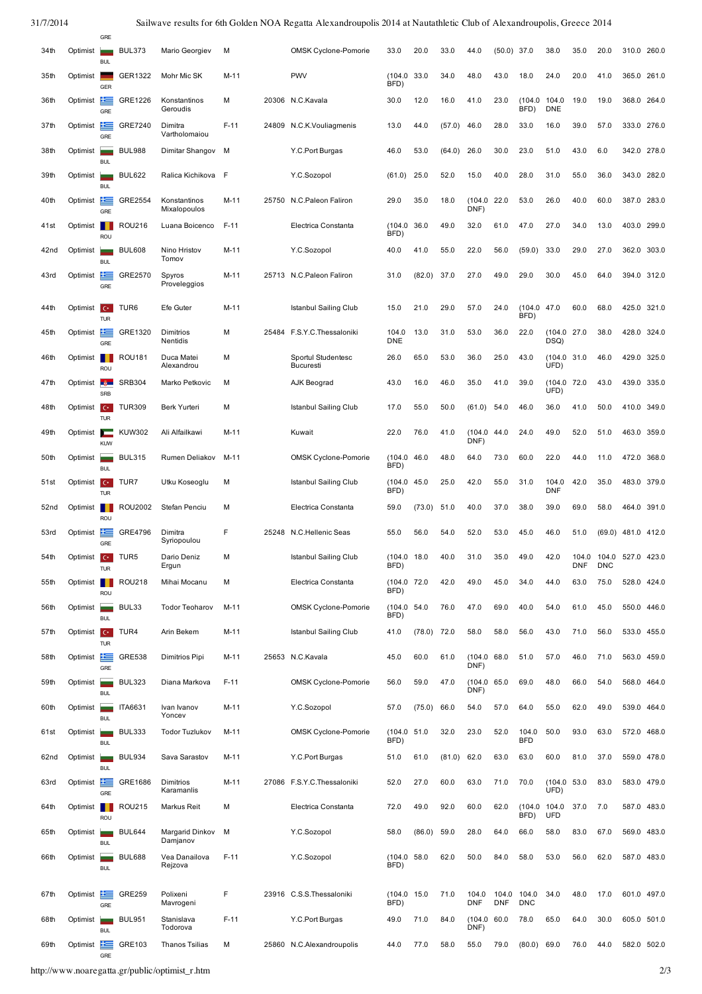31/7/2014 Sailwave results for 6th Golden NOA Regatta Alexandroupolis 2014 at Nautathletic Club of Alexandroupolis, Greece 2014

|      |                         | GRE                                    |                  |                                      |        |       |                                 |                     |               |        |                      |                    |                     |                                 |              |                     |             |       |
|------|-------------------------|----------------------------------------|------------------|--------------------------------------|--------|-------|---------------------------------|---------------------|---------------|--------|----------------------|--------------------|---------------------|---------------------------------|--------------|---------------------|-------------|-------|
| 34th | Optimist                | <b>BUL</b>                             | <b>BUL373</b>    | Mario Georgiev                       | M      |       | OMSK Cyclone-Pomorie            | 33.0                | 20.0          | 33.0   | 44.0                 | (50.0)             | 37.0                | 38.0                            | 35.0         | 20.0                | 310.0       | 260.0 |
| 35th | Optimist                | GER                                    | GER1322          | Mohr Mic SK                          | M-11   |       | <b>PWV</b>                      | (104.0)<br>BFD)     | 33.0          | 34.0   | 48.0                 | 43.0               | 18.0                | 24.0                            | 20.0         | 41.0                | 365.0       | 261.0 |
| 36th | Optimist                | t =<br>GRE                             | GRE1226          | Konstantinos<br>Geroudis             | M      |       | 20306 N.C.Kavala                | 30.0                | 12.0          | 16.0   | 41.0                 | 23.0               | (104.0)<br>BFD)     | 104.0<br><b>DNE</b>             | 19.0         | 19.0                | 368.0       | 264.0 |
| 37th | Optimist                | 丰富<br>GRE                              | GRE7240          | Dimitra<br>Vartholomaiou             | $F-11$ | 24809 | N.C.K.Vouliagmenis              | 13.0                | 44.0          | (57.0) | 46.0                 | 28.0               | 33.0                | 16.0                            | 39.0         | 57.0                | 333.0 276.0 |       |
| 38th | Optimist                |                                        | <b>BUL988</b>    | Dimitar Shangov                      | M      |       | Y.C.Port Burgas                 | 46.0                | 53.0          | (64.0) | 26.0                 | 30.0               | 23.0                | 51.0                            | 43.0         | 6.0                 | 342.0       | 278.0 |
| 39th | Optimist                | <b>BUL</b>                             | <b>BUL622</b>    | Ralica Kichikova                     | F      |       | Y.C.Sozopol                     | (61.0)              | 25.0          | 52.0   | 15.0                 | 40.0               | 28.0                | 31.0                            | 55.0         | 36.0                | 343.0       | 282.0 |
| 40th | Optimist                | <b>BUL</b><br>≃                        | GRE2554          | Konstantinos<br>Mixalopoulos         | M-11   | 25750 | N.C.Paleon Faliron              | 29.0                | 35.0          | 18.0   | (104.0<br>DNF)       | 22.0               | 53.0                | 26.0                            | 40.0         | 60.0                | 387.0       | 283.0 |
| 41st | Optimist                | GRE<br>ROU                             | <b>ROU216</b>    | Luana Boicenco                       | $F-11$ |       | Electrica Constanta             | (104.0)<br>BFD)     | 36.0          | 49.0   | 32.0                 | 61.0               | 47.0                | 27.0                            | 34.0         | 13.0                | 403.0       | 299.0 |
| 42nd | Optimist                | سد<br><b>BUL</b>                       | <b>BUL608</b>    | Nino Hristov<br>Tomov                | M-11   |       | Y.C.Sozopol                     | 40.0                | 41.0          | 55.0   | 22.0                 | 56.0               | (59.0)              | 33.0                            | 29.0         | 27.0                | 362.0       | 303.0 |
| 43rd | Optimist                | 隼<br>GRE                               | GRE2570          | Spyros<br>Proveleggios               | M-11   |       | 25713 N.C.Paleon Faliron        | 31.0                | (82.0)        | 37.0   | 27.0                 | 49.0               | 29.0                | 30.0                            | 45.0         | 64.0                | 394.0       | 312.0 |
| 44th | Optimist                | $C^*$                                  | TUR <sub>6</sub> | Efe Guter                            | M-11   |       | Istanbul Sailing Club           | 15.0                | 21.0          | 29.0   | 57.0                 | 24.0               | (104.0)             | 47.0                            | 60.0         | 68.0                | 425.0       | 321.0 |
| 45th | Optimist                | TUR<br>± =                             | GRE1320          | Dimitrios                            | M      |       | 25484 F.S.Y.C.Thessaloniki      | 104.0               | 13.0          | 31.0   | 53.0                 | 36.0               | BFD)<br>22.0        | (104.0 27.0                     |              | 38.0                | 428.0       | 324.0 |
| 46th | Optimist                | GRE                                    | <b>ROU181</b>    | Nentidis<br>Duca Matei<br>Alexandrou | M      |       | Sportul Studentesc              | <b>DNE</b><br>26.0  | 65.0          | 53.0   | 36.0                 | 25.0               | 43.0                | DSQ)<br>(104.0<br>UFD)          | 31.0         | 46.0                | 429.0       | 325.0 |
| 47th | Optimist                | ROU<br>-3-                             | <b>SRB304</b>    | Marko Petkovic                       | M      |       | <b>Bucuresti</b><br>AJK Beograd | 43.0                | 16.0          | 46.0   | 35.0                 | 41.0               | 39.0                | (104.0 72.0<br>UFD <sup>®</sup> |              | 43.0                | 439.0 335.0 |       |
| 48th | Optimist <b>C</b>       | SRB                                    | <b>TUR309</b>    | Berk Yurteri                         | M      |       | Istanbul Sailing Club           | 17.0                | 55.0          | 50.0   | (61.0)               | 54.0               | 46.0                | 36.0                            | 41.0         | 50.0                | 410.0       | 349.0 |
| 49th | Optimist                | <b>TUR</b><br>▭                        | <b>KUW302</b>    | Ali Alfailkawi                       | M-11   |       | Kuwait                          | 22.0                | 76.0          | 41.0   | (104.0<br>DNF)       | 44.0               | 24.0                | 49.0                            | 52.0         | 51.0                | 463.0       | 359.0 |
| 50th | Optimist                | <b>KUW</b>                             | <b>BUL315</b>    | Rumen Deliakov                       | M-11   |       | <b>OMSK Cyclone-Pomorie</b>     | (104.0)<br>BFD)     | 46.0          | 48.0   | 64.0                 | 73.0               | 60.0                | 22.0                            | 44.0         | 11.0                | 472.0       | 368.0 |
| 51st | Optimist                | <b>BUL</b><br>$C^*$<br><b>TUR</b>      | TUR7             | Utku Koseoglu                        | M      |       | Istanbul Sailing Club           | (104.0)<br>BFD)     | 45.0          | 25.0   | 42.0                 | 55.0               | 31.0                | 104.0<br><b>DNF</b>             | 42.0         | 35.0                | 483.0       | 379.0 |
| 52nd | Optimist                | ROU                                    | <b>ROU2002</b>   | Stefan Penciu                        | M      |       | Electrica Constanta             | 59.0                | (73.0)        | 51.0   | 40.0                 | 37.0               | 38.0                | 39.0                            | 69.0         | 58.0                | 464.0       | 391.0 |
| 53rd | Optimist                | 隼<br>GRE                               | GRE4796          | Dimitra<br>Syriopoulou               | F      | 25248 | N.C.Hellenic Seas               | 55.0                | 56.0          | 54.0   | 52.0                 | 53.0               | 45.0                | 46.0                            | 51.0         | (69.0)              | 481.0       | 412.0 |
| 54th | Optimist                | $C^*$<br><b>TUR</b>                    | TUR <sub>5</sub> | Dario Deniz<br>Ergun                 | M      |       | Istanbul Sailing Club           | (104.0)<br>BFD)     | 18.0          | 40.0   | 31.0                 | 35.0               | 49.0                | 42.0                            | 104.0<br>DNF | 104.0<br><b>DNC</b> | 527.0       | 423.0 |
| 55th | Optimist                | ROU                                    | <b>ROU218</b>    | Mihai Mocanu                         | M      |       | Electrica Constanta             | (104.0 72.0<br>BFD) |               | 42.0   | 49.0                 | 45.0               | 34.0                | 44.0                            | 63.0         | 75.0                | 528.0       | 424.0 |
| 56th | Optimist                | $\overline{\phantom{a}}$<br><b>BUL</b> | BUL33            | <b>Todor Teoharov</b>                | $M-11$ |       | <b>OMSK Cyclone-Pomorie</b>     | (104.0 54.0<br>BFD) |               | 76.0   | 47.0                 | 69.0               | 40.0                | 54.0                            | 61.0         | 45.0                | 550.0 446.0 |       |
| 57th | Optimist                | $C^*$<br><b>TUR</b>                    | TUR4             | Arin Bekem                           | $M-11$ |       | Istanbul Sailing Club           | 41.0                | $(78.0)$ 72.0 |        | 58.0                 | 58.0               | 56.0                | 43.0                            | 71.0         | 56.0                | 533.0 455.0 |       |
| 58th | Optimist                | 丰富<br>GRE                              | <b>GRE538</b>    | Dimitrios Pipi                       | $M-11$ |       | 25653 N.C.Kavala                | 45.0                | 60.0          | 61.0   | (104.0 68.0<br>DNF)  |                    | 51.0                | 57.0                            | 46.0         | 71.0                | 563.0 459.0 |       |
| 59th | Optimist                | =<br><b>BUL</b>                        | <b>BUL323</b>    | Diana Markova                        | $F-11$ |       | <b>OMSK Cyclone-Pomorie</b>     | 56.0                | 59.0          | 47.0   | (104.0<br>DNF)       | 65.0               | 69.0                | 48.0                            | 66.0         | 54.0                | 568.0       | 464.0 |
| 60th | Optimist                | <b>BUL</b>                             | ITA6631          | Ivan Ivanov<br>Yoncev                | $M-11$ |       | Y.C.Sozopol                     | 57.0                | (75.0)        | 66.0   | 54.0                 | 57.0               | 64.0                | 55.0                            | 62.0         | 49.0                | 539.0       | 464.0 |
| 61st | Optimist                | -<br><b>BUL</b>                        | <b>BUL333</b>    | <b>Todor Tuzlukov</b>                | M-11   |       | <b>OMSK Cyclone-Pomorie</b>     | (104.0<br>BFD)      | 51.0          | 32.0   | 23.0                 | 52.0               | 104.0<br><b>BFD</b> | 50.0                            | 93.0         | 63.0                | 572.0       | 468.0 |
| 62nd | Optimist                | <b>BUL</b>                             | <b>BUL934</b>    | Sava Sarastov                        | $M-11$ |       | Y.C.Port Burgas                 | 51.0                | 61.0          | (81.0) | 62.0                 | 63.0               | 63.0                | 60.0                            | 81.0         | 37.0                | 559.0 478.0 |       |
| 63rd | Optimist <b>Example</b> | GRE                                    | GRE1686          | Dimitrios<br>Karamanlis              | $M-11$ |       | 27086 F.S.Y.C.Thessaloniki      | 52.0                | 27.0          | 60.0   | 63.0                 | 71.0               | 70.0                | (104.0 53.0<br>UFD)             |              | 83.0                | 583.0       | 479.0 |
| 64th | Optimist                | ROU                                    | <b>ROU215</b>    | Markus Reit                          | M      |       | Electrica Constanta             | 72.0                | 49.0          | 92.0   | 60.0                 | 62.0               | (104.0)<br>BFD)     | 104.0<br><b>UFD</b>             | 37.0         | 7.0                 | 587.0       | 483.0 |
| 65th | Optimist                | <b>BUL</b>                             | <b>BUL644</b>    | Margarid Dinkov<br>Damjanov          | M      |       | Y.C.Sozopol                     | 58.0                | (86.0)        | 59.0   | 28.0                 | 64.0               | 66.0                | 58.0                            | 83.0         | 67.0                | 569.0       | 483.0 |
| 66th | Optimist                | <b>BUL</b>                             | <b>BUL688</b>    | Vea Danailova<br>Rejzova             | $F-11$ |       | Y.C.Sozopol                     | (104.0 58.0<br>BFD) |               | 62.0   | 50.0                 | 84.0               | 58.0                | 53.0                            | 56.0         | 62.0                | 587.0 483.0 |       |
| 67th | Optimist                | 丰富                                     | <b>GRE259</b>    | Polixeni                             | F      |       | 23916 C.S.S.Thessaloniki        | (104.0)             | 15.0          | 71.0   | 104.0                | 104.0              | 104.0               | 34.0                            | 48.0         | 17.0                | 601.0       | 497.0 |
| 68th | Optimist                | GRE                                    | <b>BUL951</b>    | Mavrogeni<br>Stanislava              | $F-11$ |       | Y.C.Port Burgas                 | BFD)<br>49.0        | 71.0          | 84.0   | <b>DNF</b><br>(104.0 | <b>DNF</b><br>60.0 | <b>DNC</b><br>78.0  | 65.0                            | 64.0         | 30.0                | 605.0 501.0 |       |
| 69th | Optimist                | <b>BUL</b><br>丰富                       | GRE103           | Todorova<br><b>Thanos Tsilias</b>    | M      | 25860 | N.C.Alexandroupolis             | 44.0                | 77.0          | 58.0   | DNF)<br>55.0         | 79.0               | (80.0)              | 69.0                            | 76.0         | 44.0                | 582.0       | 502.0 |
|      |                         | GRE                                    |                  |                                      |        |       |                                 |                     |               |        |                      |                    |                     |                                 |              |                     |             |       |

http://www.noaregatta.gr/public/optimist\_r.htm 2/3